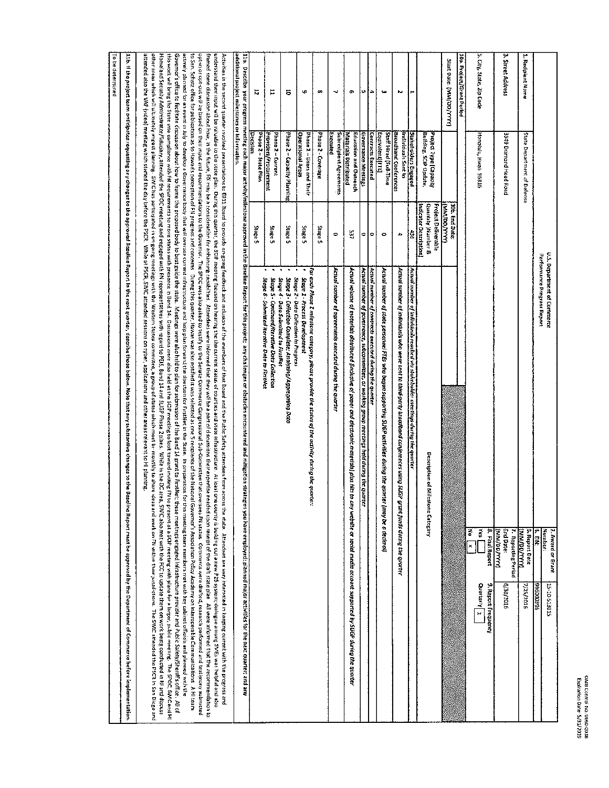|                                               |                                                       |                                                                                       | U.S. Department of Commerce<br>Performance Progress Report                                                                                                                                                                                                                                                                                                                                                                                                                              | <b>Number:</b><br>2. Award or Grant                                 | 15-10-513015                                                                                                                                                                                                                                                                            |
|-----------------------------------------------|-------------------------------------------------------|---------------------------------------------------------------------------------------|-----------------------------------------------------------------------------------------------------------------------------------------------------------------------------------------------------------------------------------------------------------------------------------------------------------------------------------------------------------------------------------------------------------------------------------------------------------------------------------------|---------------------------------------------------------------------|-----------------------------------------------------------------------------------------------------------------------------------------------------------------------------------------------------------------------------------------------------------------------------------------|
| 1. Recipient Name                             | State Department of Defense                           |                                                                                       |                                                                                                                                                                                                                                                                                                                                                                                                                                                                                         | 6. Report Date<br>4. ERK:                                           | 3102/52/Z<br>996000996                                                                                                                                                                                                                                                                  |
| 3. Street Address                             | 3949 Dramond Head Road                                |                                                                                       |                                                                                                                                                                                                                                                                                                                                                                                                                                                                                         | End Date:<br><b>MYYDD/YYYY</b><br>7. Reporting Period<br>Тххх/аа/мм | 6/30/2016                                                                                                                                                                                                                                                                               |
| 5. City, State, Zip Code                      | Honolulu, Hwali 96816                                 |                                                                                       | 중                                                                                                                                                                                                                                                                                                                                                                                                                                                                                       | 8. Final Report<br>Se)<br>×                                         | 9. Report Frequency<br>Quarterly x                                                                                                                                                                                                                                                      |
| 10a. Project/Grant Period                     |                                                       |                                                                                       |                                                                                                                                                                                                                                                                                                                                                                                                                                                                                         |                                                                     |                                                                                                                                                                                                                                                                                         |
| Start Date: [MM/DD/YYYY]                      |                                                       | 10th. End Date:<br><b>WAYOO/WM</b>                                                    |                                                                                                                                                                                                                                                                                                                                                                                                                                                                                         |                                                                     |                                                                                                                                                                                                                                                                                         |
|                                               | Buttding, SCIP Update,<br>Project Type (Capacity      | <b>Quantity (Number &amp;</b><br><b>Project Deliverable</b><br>Indicator Description) | <b>Description of M</b><br>lestone Category                                                                                                                                                                                                                                                                                                                                                                                                                                             |                                                                     |                                                                                                                                                                                                                                                                                         |
|                                               | Stakeholders Engaged                                  | ļ.                                                                                    | Actual monter of Individuals reached via stakeholder meetings during the quotier.<br>Actual monter of Individuals reached via stakeholder meetings during the quotier                                                                                                                                                                                                                                                                                                                   |                                                                     |                                                                                                                                                                                                                                                                                         |
| N                                             | <b>Broadband Copferences</b><br>Individuals Sent to   | A                                                                                     | Actual number of individuals who were sent to third-party broadband canferences using SUGP grant funds during the quorter                                                                                                                                                                                                                                                                                                                                                               |                                                                     |                                                                                                                                                                                                                                                                                         |
| $\mathbf{u}$                                  | Equivalent [FTE]<br>Staff Hired (Full-Time            | $\bullet$                                                                             | Actural number of state personnel FFES who began supporting SLIGP activities during the quo<br>ter (may be a decimal)                                                                                                                                                                                                                                                                                                                                                                   |                                                                     |                                                                                                                                                                                                                                                                                         |
| А                                             | <b>Contracts Executed</b>                             | $\Rightarrow$                                                                         | Actual member of contracts executed during the quarter                                                                                                                                                                                                                                                                                                                                                                                                                                  |                                                                     |                                                                                                                                                                                                                                                                                         |
| U,                                            | Governance Meetings                                   | ۰                                                                                     | Actual number of gavernance, subcommittee, ar working group meetings held during the quarter                                                                                                                                                                                                                                                                                                                                                                                            |                                                                     |                                                                                                                                                                                                                                                                                         |
| Ç.                                            | Materials Oistributed<br>Education and Outreach       | 53                                                                                    | Actual volume of materials distributed (laclusive of poper and electronic materials) plus hits                                                                                                                                                                                                                                                                                                                                                                                          |                                                                     | to any website or social media account supported by SLIGP during the quarter                                                                                                                                                                                                            |
| w                                             | Subredplent Agreements<br>Executed                    | ۰                                                                                     | Actual number of agreements executed during the quarter                                                                                                                                                                                                                                                                                                                                                                                                                                 |                                                                     |                                                                                                                                                                                                                                                                                         |
| $\infty$                                      | Phase 2 - Coverage                                    | Stage <sub>2</sub>                                                                    |                                                                                                                                                                                                                                                                                                                                                                                                                                                                                         |                                                                     |                                                                                                                                                                                                                                                                                         |
| Φ                                             | <b>Operational Areas</b><br>Phase 2 - Users and Their | Stage 5                                                                               | For each Phase 2 milestone category, please provide the status of the activity during the quarter:<br>Stage 1 - Process Development                                                                                                                                                                                                                                                                                                                                                     |                                                                     |                                                                                                                                                                                                                                                                                         |
| 5                                             | Phase 2 - Capacity Planning                           | e asers                                                                               | Stage 2 - Data Collection in Progress<br>Stage 3 - Collection Complete; Analyzing/Aggregating Data                                                                                                                                                                                                                                                                                                                                                                                      |                                                                     |                                                                                                                                                                                                                                                                                         |
| Ħ                                             | Providers/Procurement<br>Phase 2-Current              | Stage <sub>2</sub>                                                                    | Stage 6 - Submitted iterative Data to FirstNes<br>Stage 5 - Continued/Iterative Dota Collection<br>Stage 4 - Data Submitted to FirstNet                                                                                                                                                                                                                                                                                                                                                 |                                                                     |                                                                                                                                                                                                                                                                                         |
| Ħ                                             | Decision<br>Phase 2 - State Plan                      | Stage 5                                                                               |                                                                                                                                                                                                                                                                                                                                                                                                                                                                                         |                                                                     |                                                                                                                                                                                                                                                                                         |
| additional project milestones or information. |                                                       |                                                                                       | 11a. Describe your progress meeting each major activity/milestore approved in the Bepoct for this project, any challenges or obstacles encountered and mitigation stra                                                                                                                                                                                                                                                                                                                  |                                                                     | tegles you have employed; planned major activities for the next quarter, and any                                                                                                                                                                                                        |
|                                               |                                                       |                                                                                       | understand their meut wil be valuable to the state plan. During the SCIP meating for the current state of courties and state infeastructure. At least<br>Activities in the second quarter nvolved presentations to EB11 Board to recomplere the manifers of the Board and the Public Safety attendees from a<br>franed some discussion about how, in the future, FN may be a consideration for enhances. Attendees were informed that they wit be a part of discussions their expertise |                                                                     | needed upon receipt of the draft state plan All were informed that the recommendation to<br>one county is building cut a new $\mathsf{P25}$ system; dialogue among SMEs was heipful and also<br>cross the state. Attendees are very interested in keeping current with the progress and |
|                                               |                                                       |                                                                                       | opt-nor-opt-outhelingut and recommendations to the Governor. The 9P0C was also asted to the Serate Commence Comments Comments and the Comments weress fit status. Comments were defined and testimony submitted in the status<br>to Sen. Scharz office for published a strainer and concerns. Durng the quarter, Hawan else of a select as a selected a was selected the National Governor's Association Policy Academy on Interceashe Communications. A Hitlea                         |                                                                     |                                                                                                                                                                                                                                                                                         |
|                                               |                                                       |                                                                                       | actively planned for an exect in July to develop a Governance body that which contract has been the problem than for a direction for further in premistion. The paration<br>Governor's officate discussion about how to from the proposed both gaing the subvision of the Bant to FirstNet; these restries ergaged inflastructure provider and rubit Safetylyherif's office. All of the substant of the st                                                                              |                                                                     | for this meeting team members mot with key cabinet officials and planned with the                                                                                                                                                                                                       |
|                                               |                                                       |                                                                                       | flonelad Securist Holderight and the SPOC meet regeed wit fift in epresentatives with regend to Pasta Spins. While in the DC area, SMC also met with the FCC to update frem on work being conducted in Hrad as a state spins o<br>this work will brie State into compliance with the man and providing the compliance of the complication of the state of the state of the state of the state of the state of the state of the state of the state of the state o                        |                                                                     | deas and work on Fig within their putsoccions. The SW2C attended the PSCR in San Diego and                                                                                                                                                                                              |
|                                               |                                                       |                                                                                       | attended also the VAP (wideo) meeting which started the day Lefore the PSCR, SWG attended aesuons on cyber, applications and other areas relevant to Hi planning.<br>other areas which with ultmately mpact planning. SWIC has partropated in on-going methor states committee, a group of states which met bi- monthly to share                                                                                                                                                        |                                                                     |                                                                                                                                                                                                                                                                                         |
|                                               |                                                       |                                                                                       | 116.1f the project team species will a substable a popular and a second the second of the second of the second of the second by the Department of Comment of Comment of Comment of Comment of Comment of Commentation.                                                                                                                                                                                                                                                                  |                                                                     |                                                                                                                                                                                                                                                                                         |
|                                               |                                                       |                                                                                       |                                                                                                                                                                                                                                                                                                                                                                                                                                                                                         |                                                                     |                                                                                                                                                                                                                                                                                         |

To be determined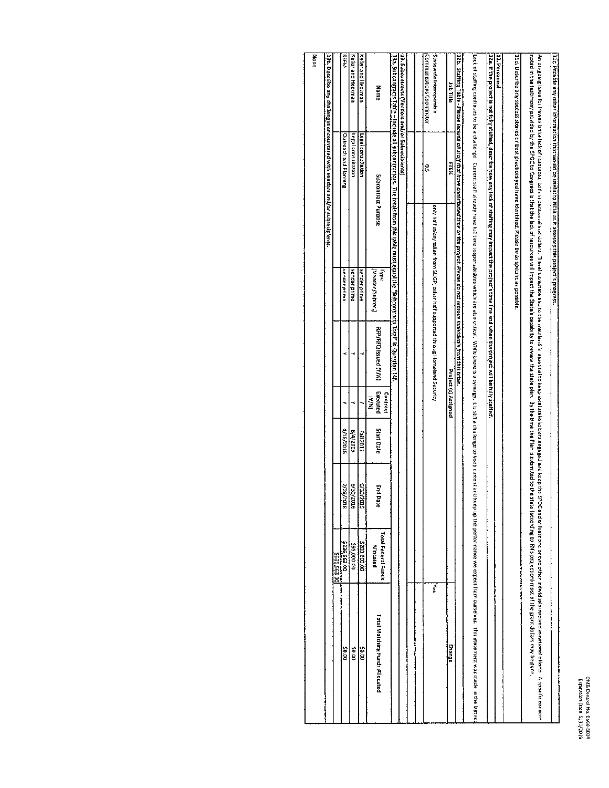|                                                                                                                                                                                                                                                                                                               |                                  |                       |                   |                              |                                                                                 |                       |                                                                                                                                                                                                                                                                                                                                                                                                             |                              | Norse                                                                       |
|---------------------------------------------------------------------------------------------------------------------------------------------------------------------------------------------------------------------------------------------------------------------------------------------------------------|----------------------------------|-----------------------|-------------------|------------------------------|---------------------------------------------------------------------------------|-----------------------|-------------------------------------------------------------------------------------------------------------------------------------------------------------------------------------------------------------------------------------------------------------------------------------------------------------------------------------------------------------------------------------------------------------|------------------------------|-----------------------------------------------------------------------------|
|                                                                                                                                                                                                                                                                                                               |                                  |                       |                   |                              |                                                                                 |                       |                                                                                                                                                                                                                                                                                                                                                                                                             |                              | 13b. Describe any challenges encountered with vendors and/or subreciplents. |
|                                                                                                                                                                                                                                                                                                               | 5631,563.00                      |                       |                   |                              |                                                                                 |                       |                                                                                                                                                                                                                                                                                                                                                                                                             |                              |                                                                             |
| 00.02                                                                                                                                                                                                                                                                                                         | DO E95'9EES                      | 2/28/2018             | 4/15/2015         | ¢                            | ¢                                                                               | vender prime          |                                                                                                                                                                                                                                                                                                                                                                                                             | <b>Outreach and Planning</b> | <b>SSFM</b>                                                                 |
| 20.00                                                                                                                                                                                                                                                                                                         | 00:000'56\$                      | 9102/02/9             | <b>8/4/2015</b>   | ¢                            | ć                                                                               | vender prime          |                                                                                                                                                                                                                                                                                                                                                                                                             | Legal consultation           | Keiler and Heckman                                                          |
| oo os                                                                                                                                                                                                                                                                                                         | 6200,000.00                      | 2/10<br>$\frac{1}{2}$ | Fata 2013         | ç                            | ÷                                                                               | verder prime          |                                                                                                                                                                                                                                                                                                                                                                                                             | Legal consultation           | Kellar and Heckman                                                          |
| <b>Total Matching Funds Allocated</b>                                                                                                                                                                                                                                                                         | Total Federal Funds<br>Allocated | 물<br>Bate             | <b>Start Date</b> | Excased<br>Contract<br>in/Al | RFP/RFQ Issued (Y/N)                                                            | 基<br>[Vendor/Subrec.] | Subcontract Purpose                                                                                                                                                                                                                                                                                                                                                                                         |                              | Marke                                                                       |
|                                                                                                                                                                                                                                                                                                               |                                  |                       |                   |                              |                                                                                 |                       | 13a, Subcontracts Table – Include all subcontracters. The totals from this table must equal the "Subcontracts Total" in Question 14f                                                                                                                                                                                                                                                                        |                              |                                                                             |
|                                                                                                                                                                                                                                                                                                               |                                  |                       |                   |                              |                                                                                 |                       |                                                                                                                                                                                                                                                                                                                                                                                                             |                              | 13. Subcontracts (Vendors and/or Subrecipients)                             |
|                                                                                                                                                                                                                                                                                                               |                                  |                       |                   |                              |                                                                                 |                       |                                                                                                                                                                                                                                                                                                                                                                                                             |                              |                                                                             |
|                                                                                                                                                                                                                                                                                                               |                                  |                       |                   |                              |                                                                                 |                       |                                                                                                                                                                                                                                                                                                                                                                                                             |                              |                                                                             |
|                                                                                                                                                                                                                                                                                                               |                                  |                       |                   |                              |                                                                                 |                       |                                                                                                                                                                                                                                                                                                                                                                                                             | es,                          | Communeations Coordinator                                                   |
| Г.                                                                                                                                                                                                                                                                                                            |                                  |                       |                   |                              | only half salary taken from SLGP; other half supported throug Homeland Security |                       |                                                                                                                                                                                                                                                                                                                                                                                                             |                              | Statewide Interoperable                                                     |
| <b>Change</b>                                                                                                                                                                                                                                                                                                 |                                  |                       |                   | Project (s) Assigned         |                                                                                 |                       |                                                                                                                                                                                                                                                                                                                                                                                                             | <b>NEW</b>                   | Job Tritle                                                                  |
|                                                                                                                                                                                                                                                                                                               |                                  |                       |                   |                              |                                                                                 |                       | 12b. Staffing Table - Please include all staff that have contributed time to the project. Please do not remove individuals from this table                                                                                                                                                                                                                                                                  |                              |                                                                             |
| keep up the performance we oxpect from ourselves. This statement was made in the last re                                                                                                                                                                                                                      |                                  |                       |                   |                              |                                                                                 |                       | .lack of staffing continues to be a challenge. Current staff alrearly have utilize and the applicates which are aloct significations is supposed to be applicate to be a current and                                                                                                                                                                                                                        |                              |                                                                             |
|                                                                                                                                                                                                                                                                                                               |                                  |                       |                   |                              |                                                                                 |                       | 12a. If the project is not fully staffed, describe how ony lack of staffing may impact the project stime line and when the project will be fully staffed                                                                                                                                                                                                                                                    |                              |                                                                             |
|                                                                                                                                                                                                                                                                                                               |                                  |                       |                   |                              |                                                                                 |                       |                                                                                                                                                                                                                                                                                                                                                                                                             |                              | 12. Personnel                                                               |
|                                                                                                                                                                                                                                                                                                               |                                  |                       |                   |                              |                                                                                 |                       | 11d. Describe any success stories or best practices you have identified. Please be as specific as possible                                                                                                                                                                                                                                                                                                  |                              |                                                                             |
| state (according to FN's projection) most of the grant dollars may be gone.<br>GEOGRAPH of the structure of two other injariational airst injariation of two other structure of the structure of two offs in the structure of the structure of the structure of the structure of the structure of the structu |                                  |                       |                   |                              |                                                                                 |                       | noted in the restrictive provided Sy the SPOC to Congress is that the last proper the States State state will move with the state plan. By the the Flan's submitted to the<br>An on-gong issue for Hawari is the lack of rescurces, both in personnel and dotages. Thee intrastate and to the maxiland is essential to keep local state individual state of the equal to keep local state in the car in the |                              |                                                                             |
|                                                                                                                                                                                                                                                                                                               |                                  |                       |                   |                              |                                                                                 |                       | $11\mathrm{c}$ Provide any other latormation that would be useful to NTIA as it assosses this project's progress.                                                                                                                                                                                                                                                                                           |                              |                                                                             |